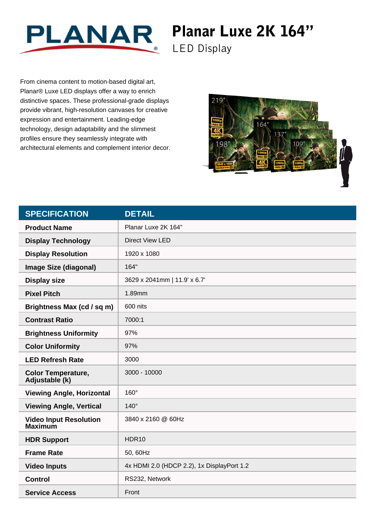

## Planar Luxe 2K 164"

LED Display

From cinema content to motion-based digital art, Planar® Luxe LED displays offer a way to enrich distinctive spaces. These professional-grade displays provide vibrant, high-resolution canvases for creative expression and entertainment. Leading-edge technology, design adaptability and the slimmest profiles ensure they seamlessly integrate with architectural elements and complement interior decor.



| <b>SPECIFICATION</b>                            | <b>DETAIL</b>                              |
|-------------------------------------------------|--------------------------------------------|
| <b>Product Name</b>                             | Planar Luxe 2K 164"                        |
| <b>Display Technology</b>                       | <b>Direct View LED</b>                     |
| <b>Display Resolution</b>                       | 1920 x 1080                                |
| <b>Image Size (diagonal)</b>                    | 164"                                       |
| <b>Display size</b>                             | 3629 x 2041mm   11.9' x 6.7'               |
| <b>Pixel Pitch</b>                              | 1.89mm                                     |
| Brightness Max (cd / sq m)                      | 600 nits                                   |
| <b>Contrast Ratio</b>                           | 7000:1                                     |
| <b>Brightness Uniformity</b>                    | 97%                                        |
| <b>Color Uniformity</b>                         | 97%                                        |
| <b>LED Refresh Rate</b>                         | 3000                                       |
| <b>Color Temperature,</b><br>Adjustable (k)     | 3000 - 10000                               |
| <b>Viewing Angle, Horizontal</b>                | 160°                                       |
| <b>Viewing Angle, Vertical</b>                  | $140^\circ$                                |
| <b>Video Input Resolution</b><br><b>Maximum</b> | 3840 x 2160 @ 60Hz                         |
| <b>HDR Support</b>                              | HDR10                                      |
| <b>Frame Rate</b>                               | 50, 60Hz                                   |
| <b>Video Inputs</b>                             | 4x HDMI 2.0 (HDCP 2.2), 1x DisplayPort 1.2 |
| <b>Control</b>                                  | RS232, Network                             |
| <b>Service Access</b>                           | Front                                      |